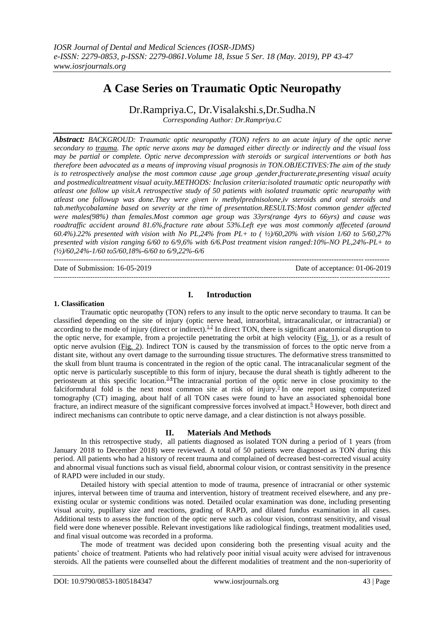# **A Case Series on Traumatic Optic Neuropathy**

Dr.Rampriya.C, Dr.Visalakshi.s,Dr.Sudha.N

*Corresponding Author: Dr.Rampriya.C*

*Abstract: BACKGROUD: Traumatic optic neuropathy (TON) refers to an acute injury of the optic nerve secondary to [trauma.](http://www.medscape.com/resource/trauma) The optic nerve axons may be damaged either directly or indirectly and the visual loss may be partial or complete. Optic nerve decompression with steroids or surgical interventions or both has therefore been advocated as a means of improving visual prognosis in TON.OBJECTIVES:The aim of the study is to retrospectively analyse the most common cause ,age group ,gender,fracturerate,presenting visual acuity and postmedicaltreatment visual acuity.METHODS: Inclusion criteria:isolated traumatic optic neuropathy with atleast one follow up visit.A retrospective study of 50 patients with isolated traumatic optic neuropathy with atleast one followup was done.They were given iv methylprednisolone,iv steroids and oral steroids and tab.methycobalamine based on severity at the time of presentation.RESULTS:Most common gender affected were males(98%) than females.Most common age group was 33yrs(range 4yrs to 66yrs) and cause was roadtraffic accident around 81.6%,fracture rate about 53%.Left eye was most commonly affeceted (around 60.4%).22% presented with vision with No PL,24% from PL+ to ( ½)/60,20% with vision 1/60 to 5/60,27% presented with vision ranging 6/60 to 6/9,6% with 6/6.Post treatment vision ranged:10%-NO PL,24%-PL+ to (½)/60,24%-1/60 to5/60,18%-6/60 to 6/9,22%-6/6*

Date of Submission: 16-05-2019 Date of acceptance: 01-06-2019

## **1. Classification**

# **I. Introduction**

---------------------------------------------------------------------------------------------------------------------------------------

---------------------------------------------------------------------------------------------------------------------------------------------------

Traumatic optic neuropathy (TON) refers to any insult to the optic nerve secondary to trauma. It can be classified depending on the site of injury (optic nerve head, intraorbital, intracanalicular, or intracranial) or according to the mode of injury (direct or indirect).  $\frac{1.2}{1}$  $\frac{1.2}{1}$  $\frac{1.2}{1}$  In direct TON, there is significant anatomical disruption to the optic nerve, for example, from a projectile penetrating the orbit at high velocity [\(Fig. 1\)](https://www.ncbi.nlm.nih.gov/pmc/articles/PMC4457437/figure/F1/), or as a result of optic nerve avulsion [\(Fig. 2\)](https://www.ncbi.nlm.nih.gov/pmc/articles/PMC4457437/figure/F2/). Indirect TON is caused by the transmission of forces to the optic nerve from a distant site, without any overt damage to the surrounding tissue structures. The deformative stress transmitted to the skull from blunt trauma is concentrated in the region of the optic canal. The intracanalicular segment of the optic nerve is particularly susceptible to this form of injury, because the dural sheath is tightly adherent to the periosteum at this specific location.<sup>[3,](https://www.ncbi.nlm.nih.gov/pmc/articles/PMC4457437/?report=classic#ref3)[4](https://www.ncbi.nlm.nih.gov/pmc/articles/PMC4457437/?report=classic#ref4)</sup>The intracranial portion of the optic nerve in close proximity to the falciformdural fold is the next most common site at risk of injury[.](https://www.ncbi.nlm.nih.gov/pmc/articles/PMC4457437/?report=classic#ref5)<sup>5</sup> In one report using computerized tomography (CT) imaging, about half of all TON cases were found to have an associated sphenoidal bone fracture, an indirect measure of the significant compressive forces involved at impact.<sup>[6](https://www.ncbi.nlm.nih.gov/pmc/articles/PMC4457437/?report=classic#ref6)</sup> However, both direct and indirect mechanisms can contribute to optic nerve damage, and a clear distinction is not always possible.

# **II. Materials And Methods**

In this retrospective study, all patients diagnosed as isolated TON during a period of 1 years (from January 2018 to December 2018) were reviewed. A total of 50 patients were diagnosed as TON during this period. All patients who had a history of recent trauma and complained of decreased best-corrected visual acuity and abnormal visual functions such as visual field, abnormal colour vision, or contrast sensitivity in the presence of RAPD were included in our study.

Detailed history with special attention to mode of trauma, presence of intracranial or other systemic injures, interval between time of trauma and intervention, history of treatment received elsewhere, and any preexisting ocular or systemic conditions was noted. Detailed ocular examination was done, including presenting visual acuity, pupillary size and reactions, grading of RAPD, and dilated fundus examination in all cases. Additional tests to assess the function of the optic nerve such as colour vision, contrast sensitivity, and visual field were done whenever possible. Relevant investigations like radiological findings, treatment modalities used, and final visual outcome was recorded in a proforma.

The mode of treatment was decided upon considering both the presenting visual acuity and the patients' choice of treatment. Patients who had relatively poor initial visual acuity were advised for intravenous steroids. All the patients were counselled about the different modalities of treatment and the non-superiority of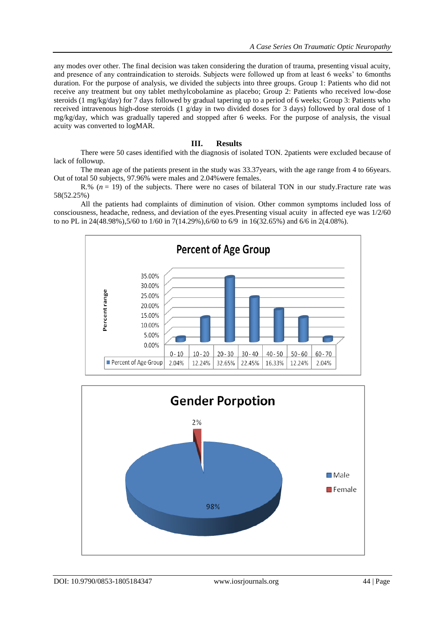any modes over other. The final decision was taken considering the duration of trauma, presenting visual acuity, and presence of any contraindication to steroids. Subjects were followed up from at least 6 weeks' to 6months duration. For the purpose of analysis, we divided the subjects into three groups. Group 1: Patients who did not receive any treatment but ony tablet methylcobolamine as placebo; Group 2: Patients who received low-dose steroids (1 mg/kg/day) for 7 days followed by gradual tapering up to a period of 6 weeks; Group 3: Patients who received intravenous high-dose steroids (1 g/day in two divided doses for 3 days) followed by oral dose of 1 mg/kg/day, which was gradually tapered and stopped after 6 weeks. For the purpose of analysis, the visual acuity was converted to logMAR.

## **III. Results**

There were 50 cases identified with the diagnosis of isolated TON. 2patients were excluded because of lack of followup.

The mean age of the patients present in the study was 33.37years, with the age range from 4 to 66years. Out of total 50 subjects, 97.96% were males and 2.04%were females.

R.% (*n* = 19) of the subjects. There were no cases of bilateral TON in our study.Fracture rate was 58(52.25%)

All the patients had complaints of diminution of vision. Other common symptoms included loss of consciousness, headache, redness, and deviation of the eyes.Presenting visual acuity in affected eye was 1/2/60 to no PL in 24(48.98%),5/60 to 1/60 in 7(14.29%),6/60 to 6/9 in 16(32.65%) and 6/6 in 2(4.08%).



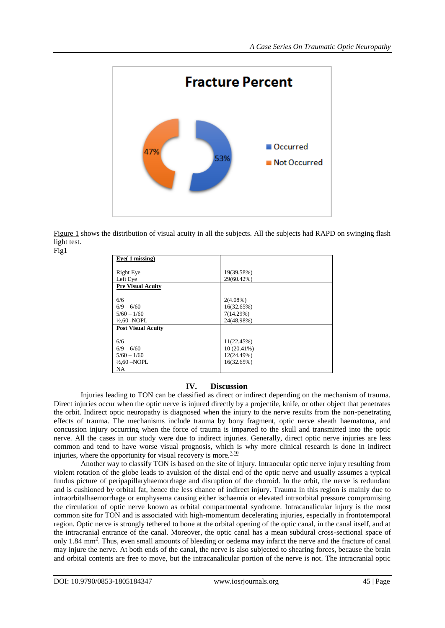

[Figure 1](https://www.ncbi.nlm.nih.gov/pmc/articles/PMC5812705/#F0001) shows the distribution of visual acuity in all the subjects. All the subjects had RAPD on swinging flash light test. Fig1

| $Eye(1)$ missing)         |               |  |
|---------------------------|---------------|--|
| Right Eye                 | 19(39.58%)    |  |
| Left Eye                  | 29(60.42%)    |  |
| <b>Pre Visual Acuity</b>  |               |  |
|                           |               |  |
| 6/6                       | $2(4.08\%)$   |  |
| $6/9 - 6/60$              | 16(32.65%)    |  |
| $5/60 - 1/60$             | 7(14.29%)     |  |
| $\frac{1}{2}$ , 60 - NOPL | 24(48.98%)    |  |
| <b>Post Visual Acuity</b> |               |  |
| 6/6                       | 11(22.45%)    |  |
| $6/9 - 6/60$              | $10(20.41\%)$ |  |
| $5/60 - 1/60$             | 12(24.49%)    |  |
| $\frac{1}{2}$ .60 -NOPL   | 16(32.65%)    |  |
| <b>NA</b>                 |               |  |

# **IV. Discussion**

Injuries leading to TON can be classified as direct or indirect depending on the mechanism of trauma. Direct injuries occur when the optic nerve is injured directly by a projectile, knife, or other object that penetrates the orbit. Indirect optic neuropathy is diagnosed when the injury to the nerve results from the non-penetrating effects of trauma. The mechanisms include trauma by bony fragment, optic nerve sheath haematoma, and concussion injury occurring when the force of trauma is imparted to the skull and transmitted into the optic nerve. All the cases in our study were due to indirect injuries. Generally, direct optic nerve injuries are less common and tend to have worse visual prognosis, which is why more clinical research is done in indirect injuries, where the opportunity for visual recovery is more. $\frac{3,10}{ }$  $\frac{3,10}{ }$  $\frac{3,10}{ }$  $\frac{3,10}{ }$ 

Another way to classify TON is based on the site of injury. Intraocular optic nerve injury resulting from violent rotation of the globe leads to avulsion of the distal end of the optic nerve and usually assumes a typical fundus picture of peripapillaryhaemorrhage and disruption of the choroid. In the orbit, the nerve is redundant and is cushioned by orbital fat, hence the less chance of indirect injury. Trauma in this region is mainly due to intraorbitalhaemorrhage or emphysema causing either ischaemia or elevated intraorbital pressure compromising the circulation of optic nerve known as orbital compartmental syndrome. Intracanalicular injury is the most common site for TON and is associated with high-momentum decelerating injuries, especially in frontotemporal region. Optic nerve is strongly tethered to bone at the orbital opening of the optic canal, in the canal itself, and at the intracranial entrance of the canal. Moreover, the optic canal has a mean subdural cross-sectional space of only 1.84 mm<sup>2</sup>[.](https://www.ncbi.nlm.nih.gov/pmc/articles/PMC5812705/#CIT0002) Thus, even small amounts of bleeding or oedema may infarct the nerve and the fracture of canal may injure the nerve. At both ends of the canal, the nerve is also subjected to shearing forces, because the brain and orbital contents are free to move, but the intracanalicular portion of the nerve is not. The intracranial optic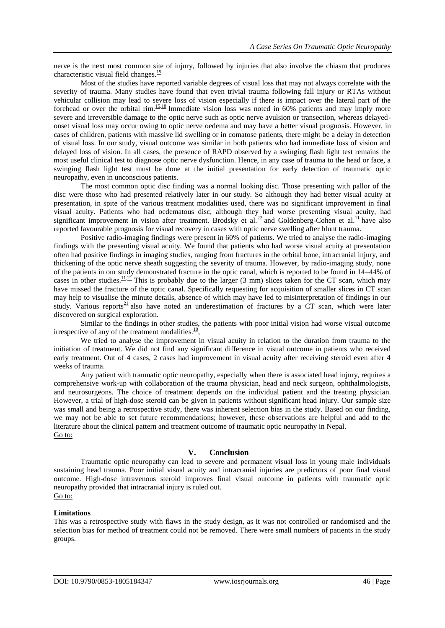nerve is the next most common site of injury, followed by injuries that also involve the chiasm that produces characteristic visual field changes. $\frac{19}{2}$  $\frac{19}{2}$  $\frac{19}{2}$ 

Most of the studies have reported variable degrees of visual loss that may not always correlate with the severity of trauma. Many studies have found that even trivial trauma following fall injury or RTAs without vehicular collision may lead to severe loss of vision especially if there is impact over the lateral part of the forehead or over the orbital rim.<sup>[15,](https://www.ncbi.nlm.nih.gov/pmc/articles/PMC5812705/#CIT0015)[18](https://www.ncbi.nlm.nih.gov/pmc/articles/PMC5812705/#CIT0018)</sup> Immediate vision loss was noted in 60% patients and may imply more severe and irreversible damage to the optic nerve such as optic nerve avulsion or transection, whereas delayedonset visual loss may occur owing to optic nerve oedema and may have a better visual prognosis. However, in cases of children, patients with massive lid swelling or in comatose patients, there might be a delay in detection of visual loss. In our study, visual outcome was similar in both patients who had immediate loss of vision and delayed loss of vision. In all cases, the presence of RAPD observed by a swinging flash light test remains the most useful clinical test to diagnose optic nerve dysfunction. Hence, in any case of trauma to the head or face, a swinging flash light test must be done at the initial presentation for early detection of traumatic optic neuropathy, even in unconscious patients.

The most common optic disc finding was a normal looking disc. Those presenting with pallor of the disc were those who had presented relatively later in our study. So although they had better visual acuity at presentation, in spite of the various treatment modalities used, there was no significant improvement in final visual acuity. Patients who had oedematous disc, although they had worse presenting visual acuity, had significant improvement in vision after treatment. Brodsky et al.<sup>[22](https://www.ncbi.nlm.nih.gov/pmc/articles/PMC5812705/#CIT0022)</sup> and Goldenberg-Cohen et al.<sup>[11](https://www.ncbi.nlm.nih.gov/pmc/articles/PMC5812705/#CIT0011)</sup> have also reported favourable prognosis for visual recovery in cases with optic nerve swelling after blunt trauma.

Positive radio-imaging findings were present in 60% of patients. We tried to analyse the radio-imaging findings with the presenting visual acuity. We found that patients who had worse visual acuity at presentation often had positive findings in imaging studies, ranging from fractures in the orbital bone, intracranial injury, and thickening of the optic nerve sheath suggesting the severity of trauma. However, by radio-imaging study, none of the patients in our study demonstrated fracture in the optic canal, which is reported to be found in 14–44% of cases in other studies.<sup>[11,](https://www.ncbi.nlm.nih.gov/pmc/articles/PMC5812705/#CIT0011)[21](https://www.ncbi.nlm.nih.gov/pmc/articles/PMC5812705/#CIT0021)</sup> This is probably due to the larger (3 mm) slices taken for the CT scan, which may have missed the fracture of the optic canal. Specifically requesting for acquisition of smaller slices in CT scan may help to visualise the minute details, absence of which may have led to misinterpretation of findings in our study. Various reports<sup>[21](https://www.ncbi.nlm.nih.gov/pmc/articles/PMC5812705/#CIT0021)</sup> also have noted an underestimation of fractures by a  $CT$  scan, which were later discovered on surgical exploration.

Similar to the findings in other studies, the patients with poor initial vision had worse visual outcome irrespective of any of the treatment modalities. $\frac{10}{10}$  $\frac{10}{10}$  $\frac{10}{10}$ ,

We tried to analyse the improvement in visual acuity in relation to the duration from trauma to the initiation of treatment. We did not find any significant difference in visual outcome in patients who received early treatment. Out of 4 cases, 2 cases had improvement in visual acuity after receiving steroid even after 4 weeks of trauma.

Any patient with traumatic optic neuropathy, especially when there is associated head injury, requires a comprehensive work-up with collaboration of the trauma physician, head and neck surgeon, ophthalmologists, and neurosurgeons. The choice of treatment depends on the individual patient and the treating physician. However, a trial of high-dose steroid can be given in patients without significant head injury. Our sample size was small and being a retrospective study, there was inherent selection bias in the study. Based on our finding, we may not be able to set future recommendations; however, these observations are helpful and add to the literature about the clinical pattern and treatment outcome of traumatic optic neuropathy in Nepal. [Go to:](https://www.ncbi.nlm.nih.gov/pmc/articles/PMC5812705/)

## **V. Conclusion**

Traumatic optic neuropathy can lead to severe and permanent visual loss in young male individuals sustaining head trauma. Poor initial visual acuity and intracranial injuries are predictors of poor final visual outcome. High-dose intravenous steroid improves final visual outcome in patients with traumatic optic neuropathy provided that intracranial injury is ruled out. [Go to:](https://www.ncbi.nlm.nih.gov/pmc/articles/PMC5812705/)

#### **Limitations**

This was a retrospective study with flaws in the study design, as it was not controlled or randomised and the selection bias for method of treatment could not be removed. There were small numbers of patients in the study groups.